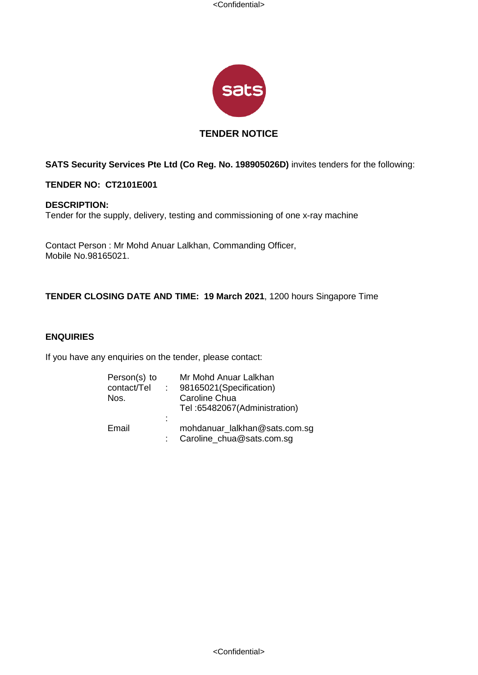<Confidential>



# **TENDER NOTICE**

# **SATS Security Services Pte Ltd (Co Reg. No. 198905026D)** invites tenders for the following:

# **TENDER NO: CT2101E001**

#### **DESCRIPTION:**

Tender for the supply, delivery, testing and commissioning of one x-ray machine

Contact Person : Mr Mohd Anuar Lalkhan, Commanding Officer, Mobile No.98165021.

# **TENDER CLOSING DATE AND TIME: 19 March 2021**, 1200 hours Singapore Time

# **ENQUIRIES**

If you have any enquiries on the tender, please contact:

| Person(s) to<br>contact/Tel<br>Nos. | $\mathbb{R}^n$ | Mr Mohd Anuar Lalkhan<br>98165021 (Specification)<br>Caroline Chua<br>Tel: 65482067 (Administration) |
|-------------------------------------|----------------|------------------------------------------------------------------------------------------------------|
| Email                               | ÷              | mohdanuar_lalkhan@sats.com.sg<br>Caroline_chua@sats.com.sg                                           |

<Confidential>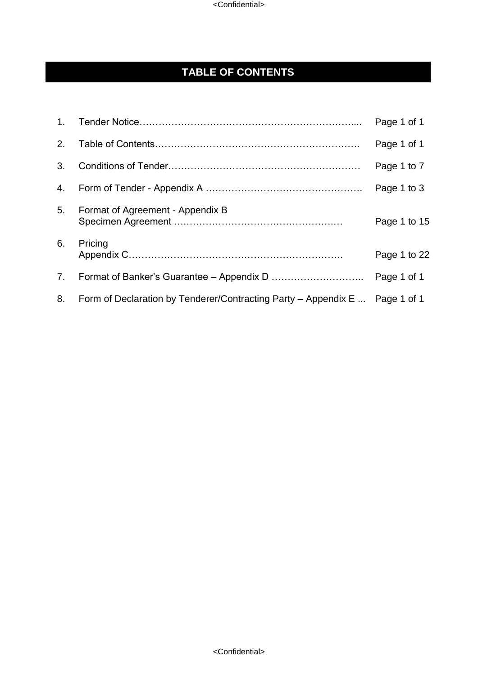# **TABLE OF CONTENTS**

| 1 <sub>1</sub> |                                                                             | Page 1 of 1  |
|----------------|-----------------------------------------------------------------------------|--------------|
| 2.             |                                                                             | Page 1 of 1  |
| 3.             |                                                                             | Page 1 to 7  |
| 4.             |                                                                             | Page 1 to 3  |
| 5.             | Format of Agreement - Appendix B                                            | Page 1 to 15 |
| 6.             | Pricing                                                                     | Page 1 to 22 |
| 7.             |                                                                             | Page 1 of 1  |
| 8.             | Form of Declaration by Tenderer/Contracting Party – Appendix E  Page 1 of 1 |              |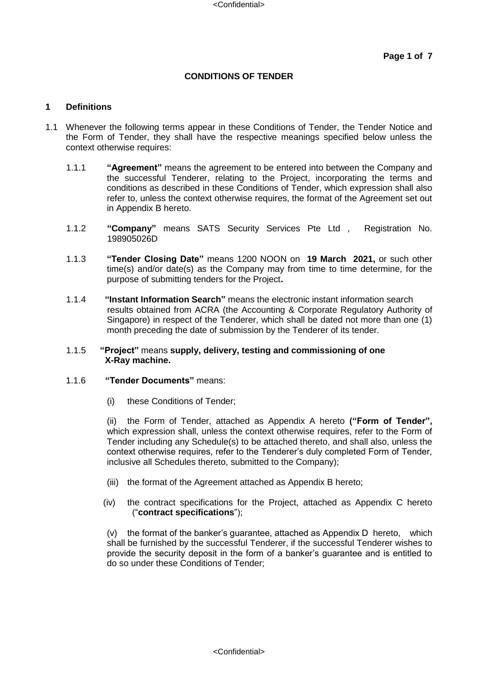## **CONDITIONS OF TENDER**

#### **1 Definitions**

- 1.1 Whenever the following terms appear in these Conditions of Tender, the Tender Notice and the Form of Tender, they shall have the respective meanings specified below unless the context otherwise requires:
	- 1.1.1 **"Agreement"** means the agreement to be entered into between the Company and the successful Tenderer, relating to the Project, incorporating the terms and conditions as described in these Conditions of Tender, which expression shall also refer to, unless the context otherwise requires, the format of the Agreement set out in Appendix B hereto.
	- 1.1.2 **"Company"** means SATS Security Services Pte Ltd , Registration No. 198905026D
	- 1.1.3 **"Tender Closing Date"** means 1200 NOON on **19 March 2021,** or such other time(s) and/or date(s) as the Company may from time to time determine, for the purpose of submitting tenders for the Project**.**
	- 1.1.4 **"Instant Information Search"** means the electronic instant information search results obtained from ACRA (the Accounting & Corporate Regulatory Authority of Singapore) in respect of the Tenderer, which shall be dated not more than one (1) month preceding the date of submission by the Tenderer of its tender.

#### 1.1.5 **"Project"** means **supply, delivery, testing and commissioning of one X-Ray machine.**

#### 1.1.6 **"Tender Documents"** means:

(i) these Conditions of Tender;

(ii) the Form of Tender, attached as Appendix A hereto **("Form of Tender",** which expression shall, unless the context otherwise requires, refer to the Form of Tender including any Schedule(s) to be attached thereto, and shall also, unless the context otherwise requires, refer to the Tenderer's duly completed Form of Tender, inclusive all Schedules thereto, submitted to the Company);

- (iii) the format of the Agreement attached as Appendix B hereto;
- (iv) the contract specifications for the Project, attached as Appendix C hereto ("**contract specifications**");

(v) the format of the banker's guarantee, attached as Appendix D hereto, which shall be furnished by the successful Tenderer, if the successful Tenderer wishes to provide the security deposit in the form of a banker's guarantee and is entitled to do so under these Conditions of Tender;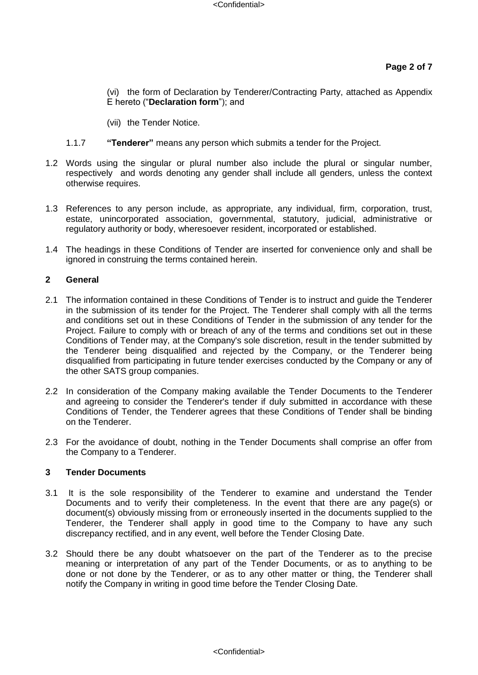(vi) the form of Declaration by Tenderer/Contracting Party, attached as Appendix E hereto ("**Declaration form**"); and

(vii) the Tender Notice.

- 1.1.7 **"Tenderer"** means any person which submits a tender for the Project.
- 1.2 Words using the singular or plural number also include the plural or singular number, respectively and words denoting any gender shall include all genders, unless the context otherwise requires.
- 1.3 References to any person include, as appropriate, any individual, firm, corporation, trust, estate, unincorporated association, governmental, statutory, judicial, administrative or regulatory authority or body, wheresoever resident, incorporated or established.
- 1.4 The headings in these Conditions of Tender are inserted for convenience only and shall be ignored in construing the terms contained herein.

## **2 General**

- 2.1 The information contained in these Conditions of Tender is to instruct and guide the Tenderer in the submission of its tender for the Project. The Tenderer shall comply with all the terms and conditions set out in these Conditions of Tender in the submission of any tender for the Project. Failure to comply with or breach of any of the terms and conditions set out in these Conditions of Tender may, at the Company's sole discretion, result in the tender submitted by the Tenderer being disqualified and rejected by the Company, or the Tenderer being disqualified from participating in future tender exercises conducted by the Company or any of the other SATS group companies.
- 2.2 In consideration of the Company making available the Tender Documents to the Tenderer and agreeing to consider the Tenderer's tender if duly submitted in accordance with these Conditions of Tender, the Tenderer agrees that these Conditions of Tender shall be binding on the Tenderer.
- 2.3 For the avoidance of doubt, nothing in the Tender Documents shall comprise an offer from the Company to a Tenderer.

#### **3 Tender Documents**

- 3.1 It is the sole responsibility of the Tenderer to examine and understand the Tender Documents and to verify their completeness. In the event that there are any page(s) or document(s) obviously missing from or erroneously inserted in the documents supplied to the Tenderer, the Tenderer shall apply in good time to the Company to have any such discrepancy rectified, and in any event, well before the Tender Closing Date.
- 3.2 Should there be any doubt whatsoever on the part of the Tenderer as to the precise meaning or interpretation of any part of the Tender Documents, or as to anything to be done or not done by the Tenderer, or as to any other matter or thing, the Tenderer shall notify the Company in writing in good time before the Tender Closing Date.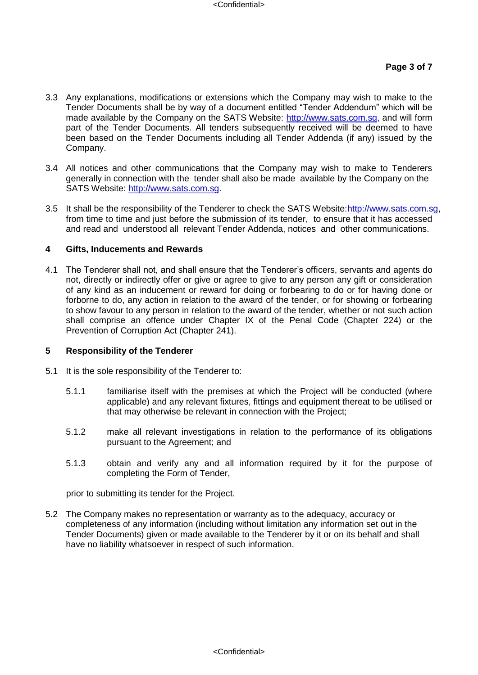- 3.3 Any explanations, modifications or extensions which the Company may wish to make to the Tender Documents shall be by way of a document entitled "Tender Addendum" which will be made available by the Company on the SATS Website: [http://www.sats.com.sg,](http://www.sats.com.sg/) and will form part of the Tender Documents. All tenders subsequently received will be deemed to have been based on the Tender Documents including all Tender Addenda (if any) issued by the Company.
- 3.4 All notices and other communications that the Company may wish to make to Tenderers generally in connection with the tender shall also be made available by the Company on the SATS Website: [http://www.sats.com.sg.](http://www.sats.com.sg/)
- 3.5 It shall be the responsibility of the Tenderer to check the SATS Website:http://www.sats.com.sg, from time to time and just before the submission of its tender, to ensure that it has accessed and read and understood all relevant Tender Addenda, notices and other communications.

#### **4 Gifts, Inducements and Rewards**

4.1 The Tenderer shall not, and shall ensure that the Tenderer's officers, servants and agents do not, directly or indirectly offer or give or agree to give to any person any gift or consideration of any kind as an inducement or reward for doing or forbearing to do or for having done or forborne to do, any action in relation to the award of the tender, or for showing or forbearing to show favour to any person in relation to the award of the tender, whether or not such action shall comprise an offence under Chapter IX of the Penal Code (Chapter 224) or the Prevention of Corruption Act (Chapter 241).

#### **5 Responsibility of the Tenderer**

- 5.1 It is the sole responsibility of the Tenderer to:
	- 5.1.1 familiarise itself with the premises at which the Project will be conducted (where applicable) and any relevant fixtures, fittings and equipment thereat to be utilised or that may otherwise be relevant in connection with the Project;
	- 5.1.2 make all relevant investigations in relation to the performance of its obligations pursuant to the Agreement; and
	- 5.1.3 obtain and verify any and all information required by it for the purpose of completing the Form of Tender,

prior to submitting its tender for the Project.

5.2 The Company makes no representation or warranty as to the adequacy, accuracy or completeness of any information (including without limitation any information set out in the Tender Documents) given or made available to the Tenderer by it or on its behalf and shall have no liability whatsoever in respect of such information.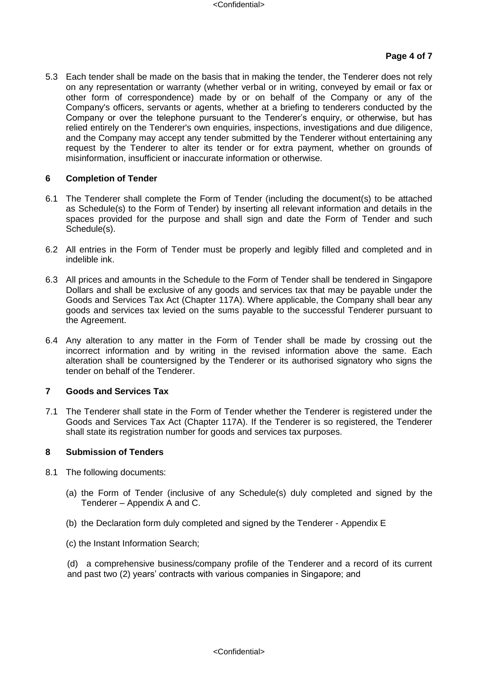#### **Page 4 of 7**

5.3 Each tender shall be made on the basis that in making the tender, the Tenderer does not rely on any representation or warranty (whether verbal or in writing, conveyed by email or fax or other form of correspondence) made by or on behalf of the Company or any of the Company's officers, servants or agents, whether at a briefing to tenderers conducted by the Company or over the telephone pursuant to the Tenderer's enquiry, or otherwise, but has relied entirely on the Tenderer's own enquiries, inspections, investigations and due diligence, and the Company may accept any tender submitted by the Tenderer without entertaining any request by the Tenderer to alter its tender or for extra payment, whether on grounds of misinformation, insufficient or inaccurate information or otherwise*.* 

#### **6 Completion of Tender**

- 6.1 The Tenderer shall complete the Form of Tender (including the document(s) to be attached as Schedule(s) to the Form of Tender) by inserting all relevant information and details in the spaces provided for the purpose and shall sign and date the Form of Tender and such Schedule(s).
- 6.2 All entries in the Form of Tender must be properly and legibly filled and completed and in indelible ink.
- 6.3 All prices and amounts in the Schedule to the Form of Tender shall be tendered in Singapore Dollars and shall be exclusive of any goods and services tax that may be payable under the Goods and Services Tax Act (Chapter 117A). Where applicable, the Company shall bear any goods and services tax levied on the sums payable to the successful Tenderer pursuant to the Agreement.
- 6.4 Any alteration to any matter in the Form of Tender shall be made by crossing out the incorrect information and by writing in the revised information above the same. Each alteration shall be countersigned by the Tenderer or its authorised signatory who signs the tender on behalf of the Tenderer.

#### **7 Goods and Services Tax**

7.1 The Tenderer shall state in the Form of Tender whether the Tenderer is registered under the Goods and Services Tax Act (Chapter 117A). If the Tenderer is so registered, the Tenderer shall state its registration number for goods and services tax purposes.

#### **8 Submission of Tenders**

- 8.1 The following documents:
	- (a) the Form of Tender (inclusive of any Schedule(s) duly completed and signed by the Tenderer – Appendix A and C.
	- (b) the Declaration form duly completed and signed by the Tenderer Appendix E
	- (c) the Instant Information Search;

(d) a comprehensive business/company profile of the Tenderer and a record of its current and past two (2) years' contracts with various companies in Singapore; and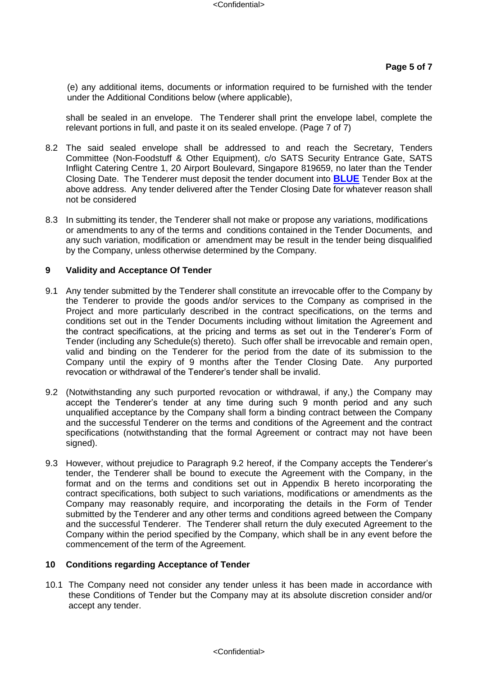(e) any additional items, documents or information required to be furnished with the tender under the Additional Conditions below (where applicable),

shall be sealed in an envelope. The Tenderer shall print the envelope label, complete the relevant portions in full, and paste it on its sealed envelope. (Page 7 of 7)

- 8.2 The said sealed envelope shall be addressed to and reach the Secretary, Tenders Committee (Non-Foodstuff & Other Equipment), c/o SATS Security Entrance Gate, SATS Inflight Catering Centre 1, 20 Airport Boulevard, Singapore 819659, no later than the Tender Closing Date. The Tenderer must deposit the tender document into **BLUE** Tender Box at the above address. Any tender delivered after the Tender Closing Date for whatever reason shall not be considered
- 8.3 In submitting its tender, the Tenderer shall not make or propose any variations, modifications or amendments to any of the terms and conditions contained in the Tender Documents, and any such variation, modification or amendment may be result in the tender being disqualified by the Company, unless otherwise determined by the Company.

#### **9 Validity and Acceptance Of Tender**

- 9.1 Any tender submitted by the Tenderer shall constitute an irrevocable offer to the Company by the Tenderer to provide the goods and/or services to the Company as comprised in the Project and more particularly described in the contract specifications, on the terms and conditions set out in the Tender Documents including without limitation the Agreement and the contract specifications, at the pricing and terms as set out in the Tenderer's Form of Tender (including any Schedule(s) thereto). Such offer shall be irrevocable and remain open, valid and binding on the Tenderer for the period from the date of its submission to the Company until the expiry of 9 months after the Tender Closing Date. Any purported revocation or withdrawal of the Tenderer's tender shall be invalid.
- 9.2 (Notwithstanding any such purported revocation or withdrawal, if any,) the Company may accept the Tenderer's tender at any time during such 9 month period and any such unqualified acceptance by the Company shall form a binding contract between the Company and the successful Tenderer on the terms and conditions of the Agreement and the contract specifications (notwithstanding that the formal Agreement or contract may not have been signed).
- 9.3 However, without prejudice to Paragraph 9.2 hereof, if the Company accepts the Tenderer's tender, the Tenderer shall be bound to execute the Agreement with the Company, in the format and on the terms and conditions set out in Appendix B hereto incorporating the contract specifications, both subject to such variations, modifications or amendments as the Company may reasonably require, and incorporating the details in the Form of Tender submitted by the Tenderer and any other terms and conditions agreed between the Company and the successful Tenderer. The Tenderer shall return the duly executed Agreement to the Company within the period specified by the Company, which shall be in any event before the commencement of the term of the Agreement.

#### **10 Conditions regarding Acceptance of Tender**

10.1 The Company need not consider any tender unless it has been made in accordance with these Conditions of Tender but the Company may at its absolute discretion consider and/or accept any tender.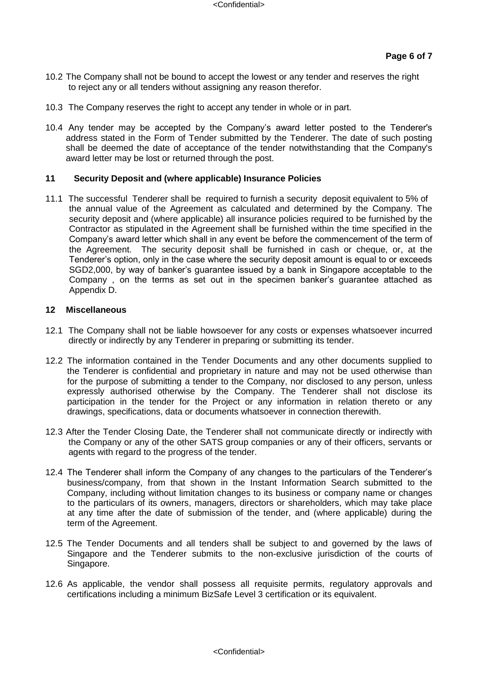- 10.2 The Company shall not be bound to accept the lowest or any tender and reserves the right to reject any or all tenders without assigning any reason therefor.
- 10.3 The Company reserves the right to accept any tender in whole or in part.
- 10.4 Any tender may be accepted by the Company's award letter posted to the Tenderer's address stated in the Form of Tender submitted by the Tenderer. The date of such posting shall be deemed the date of acceptance of the tender notwithstanding that the Company's award letter may be lost or returned through the post.

#### **11 Security Deposit and (where applicable) Insurance Policies**

11.1 The successful Tenderer shall be required to furnish a security deposit equivalent to 5% of the annual value of the Agreement as calculated and determined by the Company. The security deposit and (where applicable) all insurance policies required to be furnished by the Contractor as stipulated in the Agreement shall be furnished within the time specified in the Company's award letter which shall in any event be before the commencement of the term of the Agreement. The security deposit shall be furnished in cash or cheque, or, at the Tenderer's option, only in the case where the security deposit amount is equal to or exceeds SGD2,000, by way of banker's guarantee issued by a bank in Singapore acceptable to the Company , on the terms as set out in the specimen banker's guarantee attached as Appendix D.

#### **12 Miscellaneous**

- 12.1 The Company shall not be liable howsoever for any costs or expenses whatsoever incurred directly or indirectly by any Tenderer in preparing or submitting its tender.
- 12.2 The information contained in the Tender Documents and any other documents supplied to the Tenderer is confidential and proprietary in nature and may not be used otherwise than for the purpose of submitting a tender to the Company, nor disclosed to any person, unless expressly authorised otherwise by the Company. The Tenderer shall not disclose its participation in the tender for the Project or any information in relation thereto or any drawings, specifications, data or documents whatsoever in connection therewith.
- 12.3 After the Tender Closing Date, the Tenderer shall not communicate directly or indirectly with the Company or any of the other SATS group companies or any of their officers, servants or agents with regard to the progress of the tender.
- 12.4 The Tenderer shall inform the Company of any changes to the particulars of the Tenderer's business/company, from that shown in the Instant Information Search submitted to the Company, including without limitation changes to its business or company name or changes to the particulars of its owners, managers, directors or shareholders, which may take place at any time after the date of submission of the tender, and (where applicable) during the term of the Agreement.
- 12.5 The Tender Documents and all tenders shall be subject to and governed by the laws of Singapore and the Tenderer submits to the non-exclusive jurisdiction of the courts of Singapore.
- 12.6 As applicable, the vendor shall possess all requisite permits, regulatory approvals and certifications including a minimum BizSafe Level 3 certification or its equivalent.